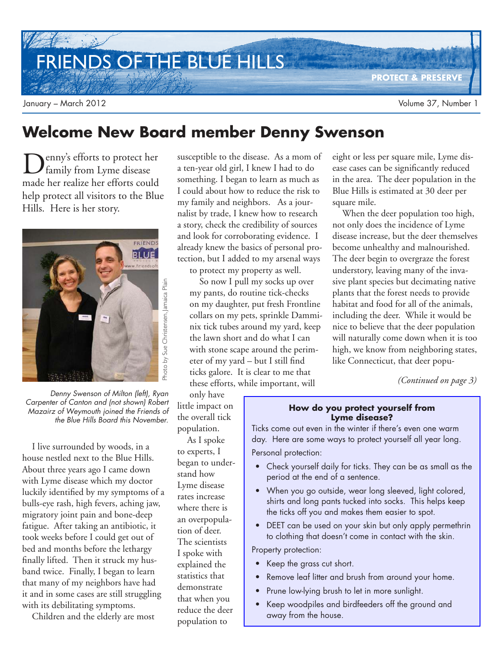FRIENDS OF THE BLUE HILLS

**PROTECT & PRESERVE**

## **Welcome New Board member Denny Swenson**

D enny's efforts to protect her family from Lyme disease made her realize her efforts could help protect all visitors to the Blue Hills. Here is her story.



Denny Swenson of Milton (left), Ryan Carpenter of Canton and (not shown) Robert Mazairz of Weymouth joined the Friends of

I live surrounded by woods, in a house nestled next to the Blue Hills. About three years ago I came down with Lyme disease which my doctor luckily identified by my symptoms of a bulls-eye rash, high fevers, aching jaw, migratory joint pain and bone-deep fatigue. After taking an antibiotic, it took weeks before I could get out of bed and months before the lethargy finally lifted. Then it struck my husband twice. Finally, I began to learn that many of my neighbors have had it and in some cases are still struggling with its debilitating symptoms.

Children and the elderly are most

susceptible to the disease. As a mom of a ten-year old girl, I knew I had to do something. I began to learn as much as I could about how to reduce the risk to my family and neighbors. As a journalist by trade, I knew how to research a story, check the credibility of sources and look for corroborating evidence. I already knew the basics of personal protection, but I added to my arsenal ways

to protect my property as well. So now I pull my socks up over my pants, do routine tick-checks on my daughter, put fresh Frontline collars on my pets, sprinkle Damminix tick tubes around my yard, keep the lawn short and do what I can with stone scape around the perimeter of my yard – but I still find ticks galore. It is clear to me that these efforts, while important, will

eight or less per square mile, Lyme disease cases can be significantly reduced in the area. The deer population in the Blue Hills is estimated at 30 deer per square mile.

When the deer population too high, not only does the incidence of Lyme disease increase, but the deer themselves become unhealthy and malnourished. The deer begin to overgraze the forest understory, leaving many of the invasive plant species but decimating native plants that the forest needs to provide habitat and food for all of the animals, including the deer. While it would be nice to believe that the deer population will naturally come down when it is too high, we know from neighboring states, like Connecticut, that deer popu-

*(Continued on page 3)*

#### **How do you protect yourself from Lyme disease?**

Ticks come out even in the winter if there's even one warm day. Here are some ways to protect yourself all year long. Personal protection:

- Check yourself daily for ticks. They can be as small as the period at the end of a sentence.
- When you go outside, wear long sleeved, light colored, shirts and long pants tucked into socks. This helps keep the ticks off you and makes them easier to spot.
- DEET can be used on your skin but only apply permethrin to clothing that doesn't come in contact with the skin.

Property protection:

- Keep the grass cut short.
- Remove leaf litter and brush from around your home.
- Prune low-lying brush to let in more sunlight.
- Keep woodpiles and birdfeeders off the ground and away from the house.

only have little impact on the overall tick population. As I spoke to experts, I began to understand how Lyme disease rates increase where there is an overpopulation of deer. The scientists I spoke with explained the statistics that demonstrate that when you

reduce the deer population to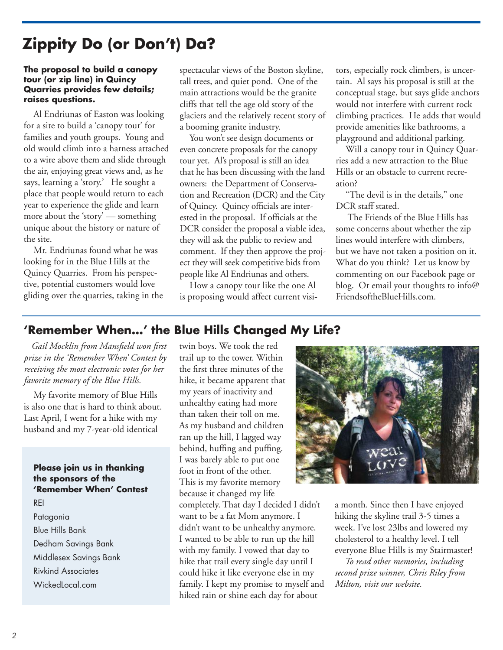# **Zippity Do (or Don't) Da?**

#### **The proposal to build a canopy tour (or zip line) in Quincy Quarries provides few details; raises questions.**

Al Endriunas of Easton was looking for a site to build a 'canopy tour' for families and youth groups. Young and old would climb into a harness attached to a wire above them and slide through the air, enjoying great views and, as he says, learning a 'story.' He sought a place that people would return to each year to experience the glide and learn more about the 'story' — something unique about the history or nature of the site.

Mr. Endriunas found what he was looking for in the Blue Hills at the Quincy Quarries. From his perspective, potential customers would love gliding over the quarries, taking in the spectacular views of the Boston skyline, tall trees, and quiet pond. One of the main attractions would be the granite cliffs that tell the age old story of the glaciers and the relatively recent story of a booming granite industry.

You won't see design documents or even concrete proposals for the canopy tour yet. Al's proposal is still an idea that he has been discussing with the land owners: the Department of Conservation and Recreation (DCR) and the City of Quincy. Quincy officials are interested in the proposal. If officials at the DCR consider the proposal a viable idea, they will ask the public to review and comment. If they then approve the project they will seek competitive bids from people like Al Endriunas and others.

How a canopy tour like the one Al is proposing would affect current visitors, especially rock climbers, is uncertain. Al says his proposal is still at the conceptual stage, but says glide anchors would not interfere with current rock climbing practices. He adds that would provide amenities like bathrooms, a playground and additional parking.

Will a canopy tour in Quincy Quarries add a new attraction to the Blue Hills or an obstacle to current recreation?

"The devil is in the details," one DCR staff stated.

 The Friends of the Blue Hills has some concerns about whether the zip lines would interfere with climbers, but we have not taken a position on it. What do you think? Let us know by commenting on our Facebook page or blog. Or email your thoughts to info@ FriendsoftheBlueHills.com.

### **'Remember When…' the Blue Hills Changed My Life?**

*Gail Mocklin from Mansfield won first prize in the 'Remember When' Contest by receiving the most electronic votes for her favorite memory of the Blue Hills.* 

My favorite memory of Blue Hills is also one that is hard to think about. Last April, I went for a hike with my husband and my 7-year-old identical

### **Please join us in thanking the sponsors of the 'Remember When' Contest** REI

Patagonia Blue Hills Bank Dedham Savings Bank Middlesex Savings Bank Rivkind Associates WickedLocal.com

twin boys. We took the red trail up to the tower. Within the first three minutes of the hike, it became apparent that my years of inactivity and unhealthy eating had more than taken their toll on me. As my husband and children ran up the hill, I lagged way behind, huffing and puffing. I was barely able to put one foot in front of the other. This is my favorite memory because it changed my life completely. That day I decided I didn't want to be a fat Mom anymore. I didn't want to be unhealthy anymore. I wanted to be able to run up the hill with my family. I vowed that day to hike that trail every single day until I

could hike it like everyone else in my family. I kept my promise to myself and hiked rain or shine each day for about



a month. Since then I have enjoyed hiking the skyline trail 3-5 times a week. I've lost 23lbs and lowered my cholesterol to a healthy level. I tell everyone Blue Hills is my Stairmaster!

*To read other memories, including second prize winner, Chris Riley from Milton, visit our website.*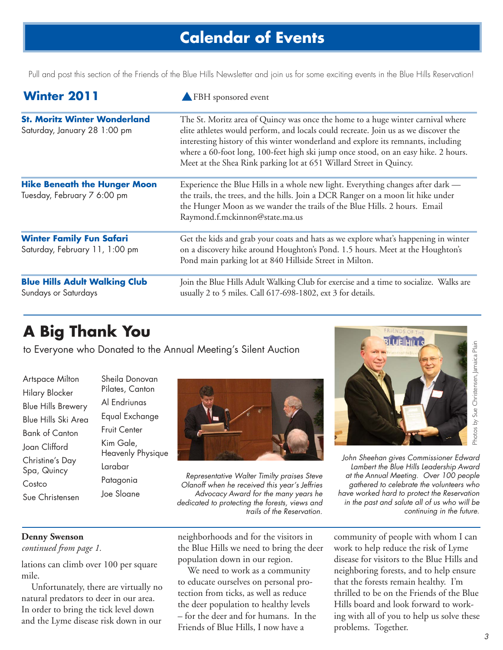## **Calendar of Events**

Pull and post this section of the Friends of the Blue Hills Newsletter and join us for some exciting events in the Blue Hills Reservation!

| <b>Winter 2011</b>                                                  | FBH sponsored event                                                                                                                                                                                                                                                                                                                                                                                                     |
|---------------------------------------------------------------------|-------------------------------------------------------------------------------------------------------------------------------------------------------------------------------------------------------------------------------------------------------------------------------------------------------------------------------------------------------------------------------------------------------------------------|
| <b>St. Moritz Winter Wonderland</b><br>Saturday, January 28 1:00 pm | The St. Moritz area of Quincy was once the home to a huge winter carnival where<br>elite athletes would perform, and locals could recreate. Join us as we discover the<br>interesting history of this winter wonderland and explore its remnants, including<br>where a 60-foot long, 100-feet high ski jump once stood, on an easy hike. 2 hours.<br>Meet at the Shea Rink parking lot at 651 Willard Street in Quincy. |
| <b>Hike Beneath the Hunger Moon</b><br>Tuesday, February 7 6:00 pm  | Experience the Blue Hills in a whole new light. Everything changes after dark —<br>the trails, the trees, and the hills. Join a DCR Ranger on a moon lit hike under<br>the Hunger Moon as we wander the trails of the Blue Hills. 2 hours. Email<br>Raymond.f.mckinnon@state.ma.us                                                                                                                                      |
| <b>Winter Family Fun Safari</b><br>Saturday, February 11, 1:00 pm   | Get the kids and grab your coats and hats as we explore what's happening in winter<br>on a discovery hike around Houghton's Pond. 1.5 hours. Meet at the Houghton's<br>Pond main parking lot at 840 Hillside Street in Milton.                                                                                                                                                                                          |
| <b>Blue Hills Adult Walking Club</b><br>Sundays or Saturdays        | Join the Blue Hills Adult Walking Club for exercise and a time to socialize. Walks are<br>usually 2 to 5 miles. Call 617-698-1802, ext 3 for details.                                                                                                                                                                                                                                                                   |

# **A Big Thank You**

to Everyone who Donated to the Annual Meeting's Silent Auction

| Artspace Milton                |
|--------------------------------|
| Hilary Blocker                 |
| <b>Blue Hills Brewery</b>      |
| <b>Blue Hills Ski Area</b>     |
| <b>Bank of Canton</b>          |
| Joan Clifford                  |
| Christine's Day<br>Spa, Quincy |
| Costco                         |
| Sue Christensen                |

Sheila Donovan Pilates, Canton Al Endriunas Equal Exchange Fruit Center Kim Gale, Heavenly Physique Larabar Patagonia Joe Sloane



Representative Walter Timilty praises Steve Olanoff when he received this year's Jeffries Advocacy Award for the many years he dedicated to protecting the forests, views and trails of the Reservation.



John Sheehan gives Commissioner Edward Lambert the Blue Hills Leadership Award at the Annual Meeting. Over 100 people gathered to celebrate the volunteers who have worked hard to protect the Reservation in the past and salute all of us who will be continuing in the future.

### **Denny Swenson**

*continued from page 1.*

lations can climb over 100 per square mile.

Unfortunately, there are virtually no natural predators to deer in our area. In order to bring the tick level down and the Lyme disease risk down in our

neighborhoods and for the visitors in the Blue Hills we need to bring the deer population down in our region.

We need to work as a community to educate ourselves on personal protection from ticks, as well as reduce the deer population to healthy levels – for the deer and for humans. In the Friends of Blue Hills, I now have a

community of people with whom I can work to help reduce the risk of Lyme disease for visitors to the Blue Hills and neighboring forests, and to help ensure that the forests remain healthy. I'm thrilled to be on the Friends of the Blue Hills board and look forward to working with all of you to help us solve these problems. Together.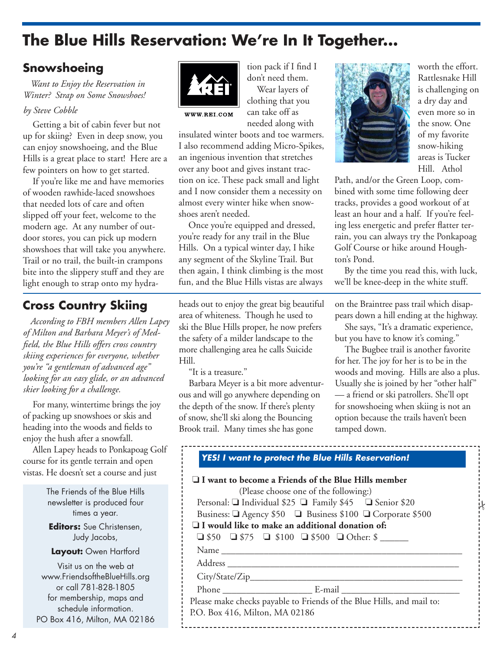# **The Blue Hills Reservation: We're In It Together...**

## **Snowshoeing**

*Want to Enjoy the Reservation in Winter? Strap on Some Snowshoes!*

#### *by Steve Cobble*

Getting a bit of cabin fever but not up for skiing? Even in deep snow, you can enjoy snowshoeing, and the Blue Hills is a great place to start! Here are a few pointers on how to get started.

If you're like me and have memories of wooden rawhide-laced snowshoes that needed lots of care and often slipped off your feet, welcome to the modern age. At any number of outdoor stores, you can pick up modern showshoes that will take you anywhere. Trail or no trail, the built-in crampons bite into the slippery stuff and they are light enough to strap onto my hydra-

## **Cross Country Skiing**

*According to FBH members Allen Lapey of Milton and Barbara Meyer's of Medfield, the Blue Hills offers cross country skiing experiences for everyone, whether you're "a gentleman of advanced age" looking for an easy glide, or an advanced skier looking for a challenge.*

For many, wintertime brings the joy of packing up snowshoes or skis and heading into the woods and fields to enjoy the hush after a snowfall.

Allen Lapey heads to Ponkapoag Golf course for its gentle terrain and open vistas. He doesn't set a course and just

> The Friends of the Blue Hills newsletter is produced four times a year.

**Editors:** Sue Christensen, Judy Jacobs,

**Layout:** Owen Hartford

Visit us on the web at www.FriendsoftheBlueHills.org or call 781-828-1805 for membership, maps and schedule information. PO Box 416, Milton, MA 02186



tion pack if I find I don't need them.

Wear layers of clothing that you can take off as needed along with



insulated winter boots and toe warmers. I also recommend adding Micro-Spikes, an ingenious invention that stretches over any boot and gives instant traction on ice. These pack small and light and I now consider them a necessity on almost every winter hike when snow-

shoes aren't needed. Once you're equipped and dressed, you're ready for any trail in the Blue Hills. On a typical winter day, I hike any segment of the Skyline Trail. But then again, I think climbing is the most fun, and the Blue Hills vistas are always

heads out to enjoy the great big beautiful area of whiteness. Though he used to ski the Blue Hills proper, he now prefers the safety of a milder landscape to the more challenging area he calls Suicide Hill.

"It is a treasure."

Barbara Meyer is a bit more adventurous and will go anywhere depending on the depth of the snow. If there's plenty of snow, she'll ski along the Bouncing Brook trail. Many times she has gone



worth the effort. Rattlesnake Hill is challenging on a dry day and even more so in the snow. One of my favorite snow-hiking areas is Tucker Hill. Athol

Path, and/or the Green Loop, combined with some time following deer tracks, provides a good workout of at least an hour and a half. If you're feeling less energetic and prefer flatter terrain, you can always try the Ponkapoag Golf Course or hike around Houghton's Pond.

By the time you read this, with luck, we'll be knee-deep in the white stuff.

on the Braintree pass trail which disappears down a hill ending at the highway.

She says, "It's a dramatic experience, but you have to know it's coming."

The Bugbee trail is another favorite for her. The joy for her is to be in the woods and moving. Hills are also a plus. Usually she is joined by her "other half" — a friend or ski patrollers. She'll opt for snowshoeing when skiing is not an option because the trails haven't been tamped down.

|                                | I I want to become a Friends of the Blue Hills member<br>(Please choose one of the following:) |
|--------------------------------|------------------------------------------------------------------------------------------------|
|                                | Personal: $\Box$ Individual \$25 $\Box$ Family \$45 $\Box$ Senior \$20                         |
|                                | Business: □ Agency \$50 □ Business \$100 □ Corporate \$500                                     |
|                                | $\Box$ I would like to make an additional donation of:                                         |
|                                | $\Box$ \$50 $\Box$ \$75 $\Box$ \$100 $\Box$ \$500 $\Box$ Other: \$                             |
|                                |                                                                                                |
|                                |                                                                                                |
|                                | <u> 1980 - Johann Barbara, martxa alemaniar arg</u>                                            |
|                                |                                                                                                |
|                                | Please make checks payable to Friends of the Blue Hills, and mail to:                          |
| P.O. Box 416, Milton, MA 02186 |                                                                                                |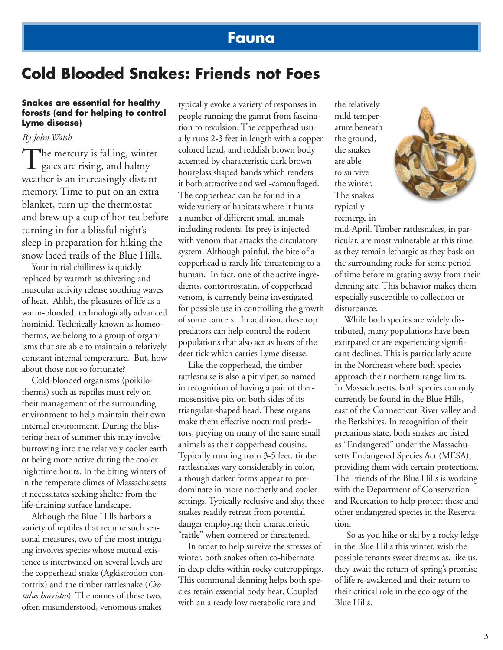## **Fauna**

## **Cold Blooded Snakes: Friends not Foes**

#### **Snakes are essential for healthy forests (and for helping to control Lyme disease)**

*By John Walsh*

The mercury is falling, winter<br>gales are rising, and balmy  $\perp$  gales are rising, and balmy weather is an increasingly distant memory. Time to put on an extra blanket, turn up the thermostat and brew up a cup of hot tea before turning in for a blissful night's sleep in preparation for hiking the snow laced trails of the Blue Hills.

Your initial chilliness is quickly replaced by warmth as shivering and muscular activity release soothing waves of heat. Ahhh, the pleasures of life as a warm-blooded, technologically advanced hominid. Technically known as homeotherms, we belong to a group of organisms that are able to maintain a relatively constant internal temperature. But, how about those not so fortunate?

Cold-blooded organisms (poikilotherms) such as reptiles must rely on their management of the surrounding environment to help maintain their own internal environment. During the blistering heat of summer this may involve burrowing into the relatively cooler earth or being more active during the cooler nighttime hours. In the biting winters of in the temperate climes of Massachusetts it necessitates seeking shelter from the life-draining surface landscape.

Although the Blue Hills harbors a variety of reptiles that require such seasonal measures, two of the most intriguing involves species whose mutual existence is intertwined on several levels are the copperhead snake (Agkistrodon contortrix) and the timber rattlesnake (*Crotalus horridus*). The names of these two, often misunderstood, venomous snakes

typically evoke a variety of responses in people running the gamut from fascination to revulsion. The copperhead usually runs 2-3 feet in length with a copper colored head, and reddish brown body accented by characteristic dark brown hourglass shaped bands which renders it both attractive and well-camouflaged. The copperhead can be found in a wide variety of habitats where it hunts a number of different small animals including rodents. Its prey is injected with venom that attacks the circulatory system. Although painful, the bite of a copperhead is rarely life threatening to a human. In fact, one of the active ingredients, contortrostatin, of copperhead venom, is currently being investigated for possible use in controlling the growth of some cancers. In addition, these top predators can help control the rodent populations that also act as hosts of the deer tick which carries Lyme disease.

Like the copperhead, the timber rattlesnake is also a pit viper, so named in recognition of having a pair of thermosensitive pits on both sides of its triangular-shaped head. These organs make them effective nocturnal predators, preying on many of the same small animals as their copperhead cousins. Typically running from 3-5 feet, timber rattlesnakes vary considerably in color, although darker forms appear to predominate in more northerly and cooler settings. Typically reclusive and shy, these snakes readily retreat from potential danger employing their characteristic "rattle" when cornered or threatened.

In order to help survive the stresses of winter, both snakes often co-hibernate in deep clefts within rocky outcroppings. This communal denning helps both species retain essential body heat. Coupled with an already low metabolic rate and

the relatively mild temperature beneath the ground, the snakes are able to survive the winter. The snakes typically reemerge in



mid-April. Timber rattlesnakes, in particular, are most vulnerable at this time as they remain lethargic as they bask on the surrounding rocks for some period of time before migrating away from their denning site. This behavior makes them especially susceptible to collection or disturbance.

While both species are widely distributed, many populations have been extirpated or are experiencing significant declines. This is particularly acute in the Northeast where both species approach their northern range limits. In Massachusetts, both species can only currently be found in the Blue Hills, east of the Connecticut River valley and the Berkshires. In recognition of their precarious state, both snakes are listed as "Endangered" under the Massachusetts Endangered Species Act (MESA), providing them with certain protections. The Friends of the Blue Hills is working with the Department of Conservation and Recreation to help protect these and other endangered species in the Reservation.

 So as you hike or ski by a rocky ledge in the Blue Hills this winter, wish the possible tenants sweet dreams as, like us, they await the return of spring's promise of life re-awakened and their return to their critical role in the ecology of the Blue Hills.